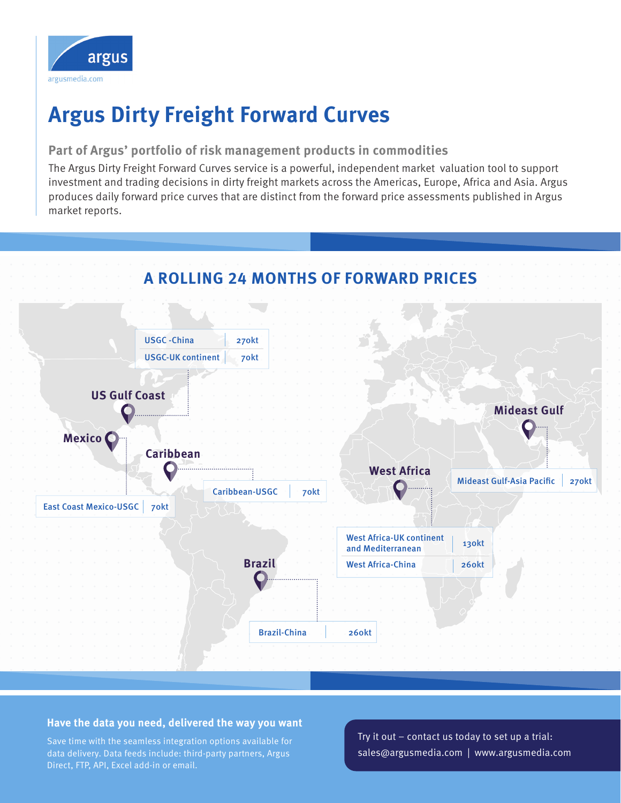

# **Argus Dirty Freight Forward Curves**

### **Part of Argus' portfolio of risk management products in commodities**

The Argus Dirty Freight Forward Curves service is a powerful, independent market valuation tool to support investment and trading decisions in dirty freight markets across the Americas, Europe, Africa and Asia. Argus produces daily forward price curves that are distinct from the forward price assessments published in Argus market reports.



### **Have the data you need, delivered the way you want**

Save time with the seamless integration options available for data delivery. Data feeds include: third-party partners, Argus Direct, FTP, API, Excel add-in or email.

Try it out – contact us today to set up a trial: sales@argusmedia.com | www.argusmedia.com